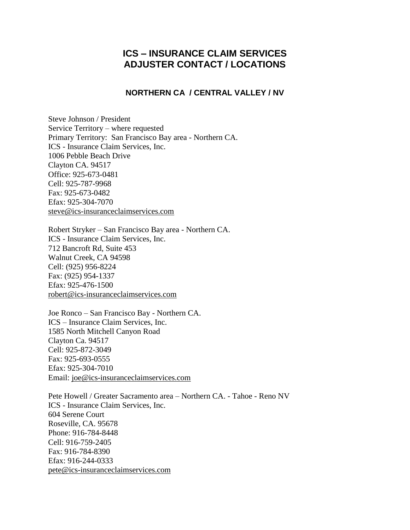## **ICS – INSURANCE CLAIM SERVICES ADJUSTER CONTACT / LOCATIONS**

## **NORTHERN CA / CENTRAL VALLEY / NV**

Steve Johnson / President Service Territory – where requested Primary Territory: San Francisco Bay area - Northern CA. ICS - Insurance Claim Services, Inc. 1006 Pebble Beach Drive Clayton CA. 94517 Office: 925-673-0481 Cell: 925-787-9968 Fax: 925-673-0482 Efax: 925-304-7070 [steve@ics-insuranceclaimservices.com](mailto:steve@ics-insuranceclaimservices.com)

Robert Stryker – San Francisco Bay area - Northern CA. ICS - Insurance Claim Services, Inc. 712 Bancroft Rd, Suite 453 Walnut Creek, CA 94598 Cell: (925) 956-8224 Fax: (925) 954-1337 Efax: 925-476-1500 [robert@ics-insuranceclaimservices.com](mailto:robert@ics-insuranceclaimservices.com)

Joe Ronco – San Francisco Bay - Northern CA. ICS – Insurance Claim Services, Inc. 1585 North Mitchell Canyon Road Clayton Ca. 94517 Cell: 925-872-3049 Fax: 925-693-0555 Efax: 925-304-7010 Email: [joe@ics-insuranceclaimservices.com](mailto:joe@ics-insuranceclaimservices.com)

Pete Howell / Greater Sacramento area – Northern CA. - Tahoe - Reno NV ICS - Insurance Claim Services, Inc. 604 Serene Court Roseville, CA. 95678 Phone: 916-784-8448 Cell: 916-759-2405 Fax: 916-784-8390 Efax: 916-244-0333 [pete@ics-insuranceclaimservices.com](mailto:steve@ics-insuranceclaimservices.com)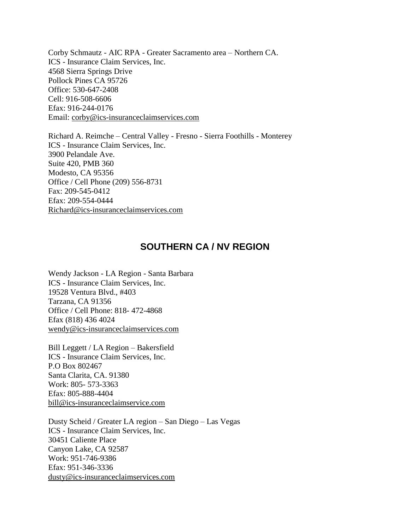Corby Schmautz - AIC RPA - Greater Sacramento area – Northern CA. ICS - Insurance Claim Services, Inc. 4568 Sierra Springs Drive Pollock Pines CA 95726 Office: 530-647-2408 Cell: 916-508-6606 Efax: 916-244-0176 Email: [corby@ics-insuranceclaimservices.com](mailto:corby@ics-insuranceclaimservices.com)

Richard A. Reimche – Central Valley - Fresno - Sierra Foothills - Monterey ICS - Insurance Claim Services, Inc. 3900 Pelandale Ave. Suite 420, PMB 360 Modesto, CA 95356 Office / Cell Phone (209) 556-8731 Fax: 209-545-0412 Efax: 209-554-0444 [Richard@ics-insuranceclaimservices.com](mailto:Richard@ics-insuranceclaimservices.com)

## **SOUTHERN CA / NV REGION**

Wendy Jackson - LA Region - Santa Barbara ICS - Insurance Claim Services, Inc. 19528 Ventura Blvd., #403 Tarzana, CA 91356 Office / Cell Phone: 818- 472-4868 Efax (818) 436 4024 [wendy@ics-insuranceclaimservices.com](mailto:wendy@ics-insuranceclaimservices.com)

Bill Leggett / LA Region – Bakersfield ICS - Insurance Claim Services, Inc. P.O Box 802467 Santa Clarita, CA. 91380 Work: 805- 573-3363 Efax: 805-888-4404 [bill@ics-insuranceclaimservice.com](mailto:bill@ics-insuranceclaimservice.com)

Dusty Scheid / Greater LA region – San Diego – Las Vegas ICS - Insurance Claim Services, Inc. 30451 Caliente Place Canyon Lake, CA 92587 Work: 951-746-9386 Efax: 951-346-3336 [dusty@ics-insuranceclaimservices.com](mailto:dusty@ics-insuranceclaimservices.com)